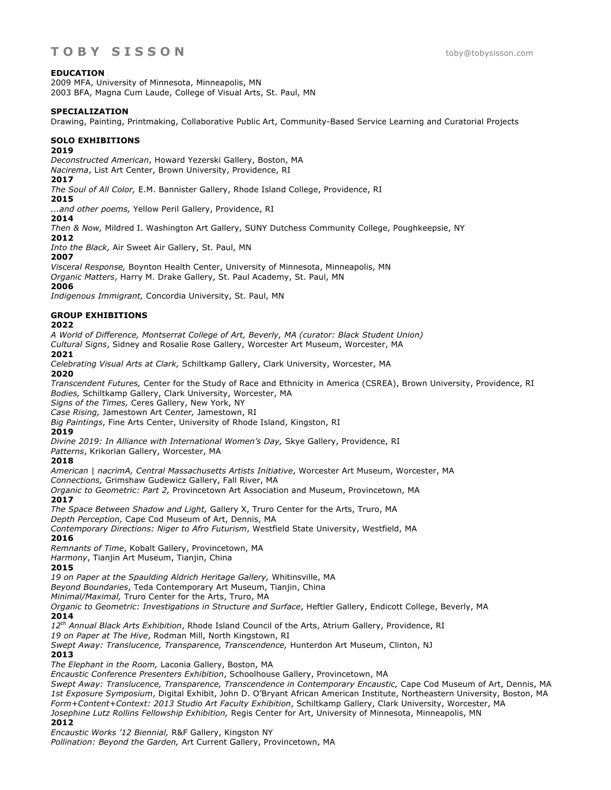## **EDUCATION**

2009 MFA, University of Minnesota, Minneapolis, MN 2003 BFA, Magna Cum Laude, College of Visual Arts, St. Paul, MN

#### **SPECIALIZATION**

Drawing, Painting, Printmaking, Collaborative Public Art, Community-Based Service Learning and Curatorial Projects

#### **SOLO EXHIBITIONS**

#### **2019**

*Deconstructed American*, Howard Yezerski Gallery, Boston, MA *Nacirema*, List Art Center, Brown University, Providence, RI

#### **2017**

*The Soul of All Color,* E.M. Bannister Gallery, Rhode Island College, Providence, RI

**2015**

*...and other poems,* Yellow Peril Gallery, Providence, RI

**2014**

*Then & Now,* Mildred I. Washington Art Gallery, SUNY Dutchess Community College, Poughkeepsie, NY

**2012**

*Into the Black,* Air Sweet Air Gallery, St. Paul, MN

# **2007**

*Visceral Response,* Boynton Health Center, University of Minnesota, Minneapolis, MN

*Organic Matters*, Harry M. Drake Gallery, St. Paul Academy, St. Paul, MN

#### **2006**

*Indigenous Immigrant,* Concordia University, St. Paul, MN

# **GROUP EXHIBITIONS**

#### **2022**

*A World of Difference, Montserrat College of Art, Beverly, MA (curator: Black Student Union)*

*Cultural Signs*, Sidney and Rosalie Rose Gallery, Worcester Art Museum, Worcester, MA

#### **2021**

*Celebrating Visual Arts at Clark,* Schiltkamp Gallery, Clark University, Worcester, MA

#### **2020**

*Transcendent Futures,* Center for the Study of Race and Ethnicity in America (CSREA), Brown University, Providence, RI *Bodies,* Schiltkamp Gallery, Clark University, Worcester, MA

*Signs of the Times,* Ceres Gallery, New York, NY

*Case Rising,* Jamestown Art Ce*nter,* Jamestown, RI

*Big Paintings*, Fine Arts Center, University of Rhode Island, Kingston, RI

## **2019**

*Divine 2019: In Alliance with International Women's Day,* Skye Gallery, Providence, RI

*Patterns*, Krikorian Gallery, Worcester, MA

## **2018**

*American* | *nacrimA, Central Massachusetts Artists Initiative*, Worcester Art Museum, Worcester, MA

*Connections,* Grimshaw Gudewicz Gallery, Fall River, MA *Organic to Geometric: Part 2,* Provincetown Art Association and Museum, Provincetown, MA

## **2017**

*The Space Between Shadow and Light,* Gallery X, Truro Center for the Arts, Truro, MA

*Depth Perception,* Cape Cod Museum of Art, Dennis, MA

*Contemporary Directions: Niger to Afro Futurism*, Westfield State University, Westfield, MA **2016**

*Remnants of Time*, Kobalt Gallery, Provincetown, MA

*Harmony*, Tianjin Art Museum, Tianjin, China

## **2015**

*19 on Paper at the Spaulding Aldrich Heritage Gallery,* Whitinsville, MA

*Beyond Boundaries*, Teda Contemporary Art Museum, Tianjin, China

*Minimal/Maximal,* Truro Center for the Arts, Truro, MA

*Organic to Geometric: Investigations in Structure and Surface*, Heftler Gallery, Endicott College, Beverly, MA **2014**

*12th Annual Black Arts Exhibition*, Rhode Island Council of the Arts, Atrium Gallery, Providence, RI

*19 on Paper at The Hive*, Rodman Mill, North Kingstown, RI

*Swept Away: Translucence, Transparence, Transcendence,* Hunterdon Art Museum, Clinton, NJ **2013**

*The Elephant in the Room,* Laconia Gallery, Boston, MA

*Encaustic Conference Presenters Exhibition*, Schoolhouse Gallery, Provincetown, MA

*Swept Away: Translucence, Transparence, Transcendence in Contemporary Encaustic, Cape Cod Museum of Art, Dennis, MA 1st Exposure Symposium*, Digital Exhibit, John D. O'Bryant African American Institute, Northeastern University, Boston, MA *Form+Content+Context: 2013 Studio Art Faculty Exhibition*, Schiltkamp Gallery, Clark University, Worcester, MA *Josephine Lutz Rollins Fellowship Exhibition,* Regis Center for Art, University of Minnesota, Minneapolis, MN

## **2012**

*Encaustic Works '12 Biennial,* R&F Gallery, Kingston NY

*Pollination: Beyond the Garden,* Art Current Gallery, Provincetown, MA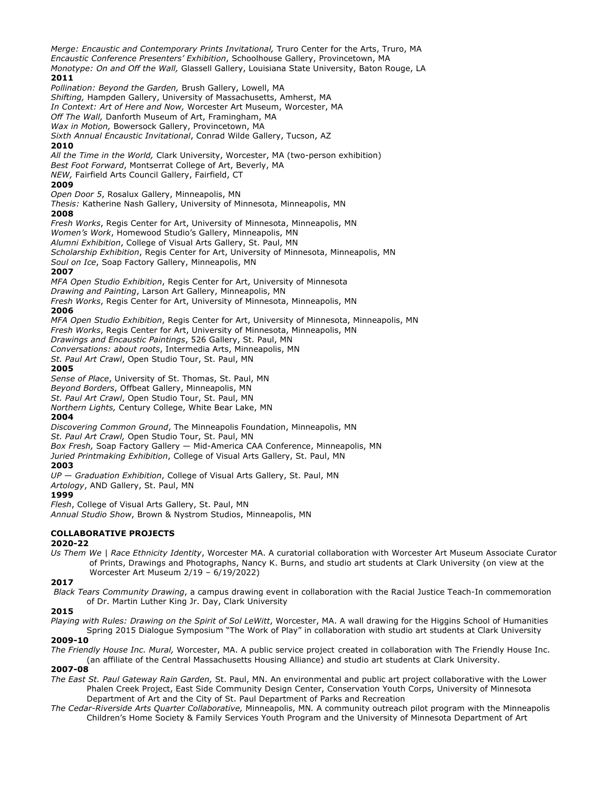*Merge: Encaustic and Contemporary Prints Invitational,* Truro Center for the Arts, Truro, MA *Encaustic Conference Presenters' Exhibition*, Schoolhouse Gallery, Provincetown, MA *Monotype: On and Off the Wall,* Glassell Gallery, Louisiana State University, Baton Rouge, LA **2011** *Pollination: Beyond the Garden,* Brush Gallery, Lowell, MA *Shifting,* Hampden Gallery, University of Massachusetts, Amherst, MA *In Context: Art of Here and Now,* Worcester Art Museum, Worcester, MA *Off The Wall,* Danforth Museum of Art, Framingham, MA *Wax in Motion,* Bowersock Gallery, Provincetown, MA *Sixth Annual Encaustic Invitational*, Conrad Wilde Gallery, Tucson, AZ **2010** *All the Time in the World,* Clark University, Worcester, MA (two-person exhibition) *Best Foot Forward*, Montserrat College of Art, Beverly, MA *NEW,* Fairfield Arts Council Gallery, Fairfield, CT **2009** *Open Door 5*, Rosalux Gallery, Minneapolis, MN *Thesis:* Katherine Nash Gallery, University of Minnesota, Minneapolis, MN **2008** *Fresh Works*, Regis Center for Art, University of Minnesota, Minneapolis, MN *Women's Work*, Homewood Studio's Gallery, Minneapolis, MN *Alumni Exhibition*, College of Visual Arts Gallery, St. Paul, MN *Scholarship Exhibition*, Regis Center for Art, University of Minnesota, Minneapolis, MN *Soul on Ice*, Soap Factory Gallery, Minneapolis, MN **2007** *MFA Open Studio Exhibition*, Regis Center for Art, University of Minnesota *Drawing and Painting*, Larson Art Gallery, Minneapolis, MN *Fresh Works*, Regis Center for Art, University of Minnesota, Minneapolis, MN **2006** *MFA Open Studio Exhibition*, Regis Center for Art, University of Minnesota, Minneapolis, MN *Fresh Works*, Regis Center for Art, University of Minnesota, Minneapolis, MN *Drawings and Encaustic Paintings*, 526 Gallery, St. Paul, MN *Conversations: about roots*, Intermedia Arts, Minneapolis, MN *St. Paul Art Crawl*, Open Studio Tour, St. Paul, MN **2005** *Sense of Place*, University of St. Thomas, St. Paul, MN *Beyond Borders*, Offbeat Gallery, Minneapolis, MN *St. Paul Art Crawl*, Open Studio Tour, St. Paul, MN *Northern Lights,* Century College, White Bear Lake, MN **2004** *Discovering Common Ground*, The Minneapolis Foundation, Minneapolis, MN *St. Paul Art Crawl,* Open Studio Tour, St. Paul, MN *Box Fresh,* Soap Factory Gallery — Mid-America CAA Conference, Minneapolis, MN *Juried Printmaking Exhibition*, College of Visual Arts Gallery, St. Paul, MN **2003** *UP — Graduation Exhibition*, College of Visual Arts Gallery, St. Paul, MN *Artology*, AND Gallery, St. Paul, MN **1999** *Flesh*, College of Visual Arts Gallery, St. Paul, MN

*Annual Studio Show*, Brown & Nystrom Studios, Minneapolis, MN

## **COLLABORATIVE PROJECTS**

#### **2020-22**

*Us Them We | Race Ethnicity Identity*, Worcester MA. A curatorial collaboration with Worcester Art Museum Associate Curator of Prints, Drawings and Photographs, Nancy K. Burns, and studio art students at Clark University (on view at the Worcester Art Museum 2/19 – 6/19/2022)

#### **2017**

*Black Tears Community Drawing*, a campus drawing event in collaboration with the Racial Justice Teach-In commemoration of Dr. Martin Luther King Jr. Day, Clark University

#### **2015**

*Playing with Rules: Drawing on the Spirit of Sol LeWitt*, Worcester, MA. A wall drawing for the Higgins School of Humanities Spring 2015 Dialogue Symposium "The Work of Play" in collaboration with studio art students at Clark University

# **2009-10**

*The Friendly House Inc. Mural,* Worcester, MA. A public service project created in collaboration with The Friendly House Inc. (an affiliate of the Central Massachusetts Housing Alliance) and studio art students at Clark University.

#### **2007-08**

- *The East St. Paul Gateway Rain Garden,* St. Paul, MN. An environmental and public art project collaborative with the Lower Phalen Creek Project, East Side Community Design Center, Conservation Youth Corps, University of Minnesota Department of Art and the City of St. Paul Department of Parks and Recreation
- *The Cedar-Riverside Arts Quarter Collaborative,* Minneapolis, MN*.* A community outreach pilot program with the Minneapolis Children's Home Society & Family Services Youth Program and the University of Minnesota Department of Art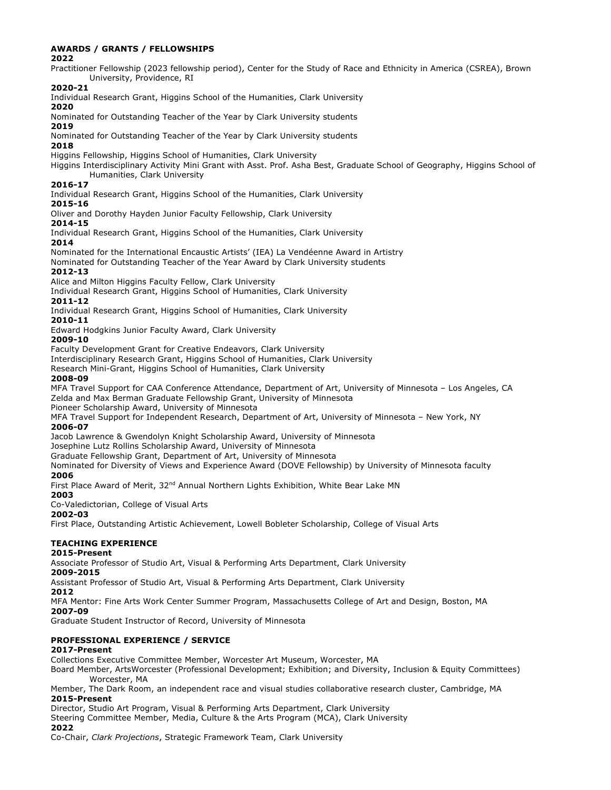## **AWARDS / GRANTS / FELLOWSHIPS**

**2022**

Practitioner Fellowship (2023 fellowship period), Center for the Study of Race and Ethnicity in America (CSREA), Brown University, Providence, RI

# **2020-21**

Individual Research Grant, Higgins School of the Humanities, Clark University

# **2020**

Nominated for Outstanding Teacher of the Year by Clark University students

#### **2019**

Nominated for Outstanding Teacher of the Year by Clark University students

#### **2018**

Higgins Fellowship, Higgins School of Humanities, Clark University

Higgins Interdisciplinary Activity Mini Grant with Asst. Prof. Asha Best, Graduate School of Geography, Higgins School of Humanities, Clark University

## **2016-17**

Individual Research Grant, Higgins School of the Humanities, Clark University

# **2015-16**

Oliver and Dorothy Hayden Junior Faculty Fellowship, Clark University

#### **2014-15**

Individual Research Grant, Higgins School of the Humanities, Clark University

#### **2014**

Nominated for the International Encaustic Artists' (IEA) La Vendéenne Award in Artistry

Nominated for Outstanding Teacher of the Year Award by Clark University students

## **2012-13**

Alice and Milton Higgins Faculty Fellow, Clark University

Individual Research Grant, Higgins School of Humanities, Clark University

## **2011-12**

Individual Research Grant, Higgins School of Humanities, Clark University

#### **2010-11**

Edward Hodgkins Junior Faculty Award, Clark University

## **2009-10**

Faculty Development Grant for Creative Endeavors, Clark University

Interdisciplinary Research Grant, Higgins School of Humanities, Clark University

Research Mini-Grant, Higgins School of Humanities, Clark University

#### **2008-09**

MFA Travel Support for CAA Conference Attendance, Department of Art, University of Minnesota – Los Angeles, CA Zelda and Max Berman Graduate Fellowship Grant, University of Minnesota

Pioneer Scholarship Award, University of Minnesota

MFA Travel Support for Independent Research, Department of Art, University of Minnesota – New York, NY **2006-07**

Jacob Lawrence & Gwendolyn Knight Scholarship Award, University of Minnesota

Josephine Lutz Rollins Scholarship Award, University of Minnesota

Graduate Fellowship Grant, Department of Art, University of Minnesota

Nominated for Diversity of Views and Experience Award (DOVE Fellowship) by University of Minnesota faculty **2006**

First Place Award of Merit, 32<sup>nd</sup> Annual Northern Lights Exhibition, White Bear Lake MN

## **2003**

Co-Valedictorian, College of Visual Arts

# **2002-03**

First Place, Outstanding Artistic Achievement, Lowell Bobleter Scholarship, College of Visual Arts

# **TEACHING EXPERIENCE**

## **2015-Present**

Associate Professor of Studio Art, Visual & Performing Arts Department, Clark University **2009-2015**

Assistant Professor of Studio Art, Visual & Performing Arts Department, Clark University

## **2012**

MFA Mentor: Fine Arts Work Center Summer Program, Massachusetts College of Art and Design, Boston, MA **2007-09**

Graduate Student Instructor of Record, University of Minnesota

#### **PROFESSIONAL EXPERIENCE / SERVICE 2017-Present**

Collections Executive Committee Member, Worcester Art Museum, Worcester, MA

Board Member, ArtsWorcester (Professional Development; Exhibition; and Diversity, Inclusion & Equity Committees) Worcester, MA

Member, The Dark Room, an independent race and visual studies collaborative research cluster, Cambridge, MA **2015-Present**

Director, Studio Art Program, Visual & Performing Arts Department, Clark University

Steering Committee Member, Media, Culture & the Arts Program (MCA), Clark University

#### **2022**

Co-Chair, *Clark Projections*, Strategic Framework Team, Clark University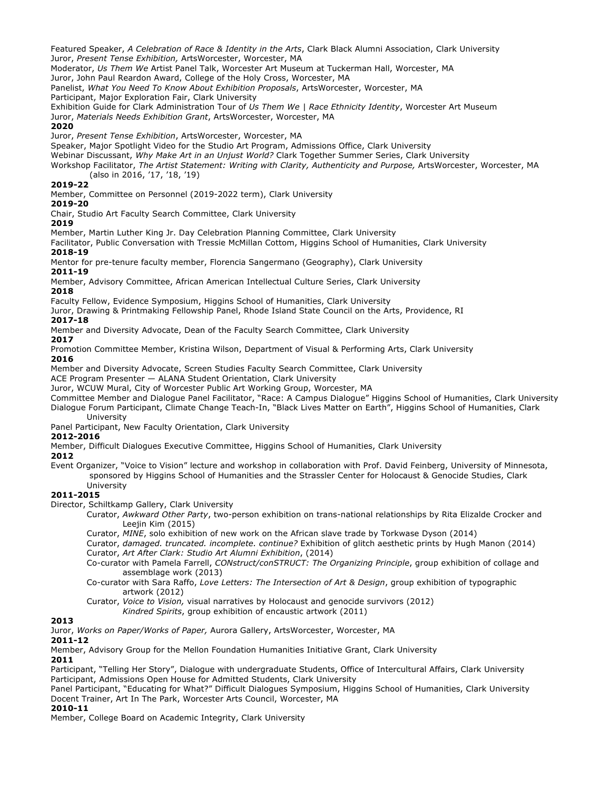Featured Speaker, *A Celebration of Race & Identity in the Arts*, Clark Black Alumni Association, Clark University Juror, *Present Tense Exhibition,* ArtsWorcester, Worcester, MA

Moderator, *Us Them We* Artist Panel Talk, Worcester Art Museum at Tuckerman Hall, Worcester, MA

Juror, John Paul Reardon Award, College of the Holy Cross, Worcester, MA

Panelist, *What You Need To Know About Exhibition Proposals*, ArtsWorcester, Worcester, MA

Participant, Major Exploration Fair, Clark University

Exhibition Guide for Clark Administration Tour of *Us Them We | Race Ethnicity Identity*, Worcester Art Museum

Juror, *Materials Needs Exhibition Grant*, ArtsWorcester, Worcester, MA

**2020**

Juror, *Present Tense Exhibition*, ArtsWorcester, Worcester, MA

Speaker, Major Spotlight Video for the Studio Art Program, Admissions Office, Clark University

Webinar Discussant, *Why Make Art in an Unjust World?* Clark Together Summer Series, Clark University

Workshop Facilitator, *The Artist Statement: Writing with Clarity, Authenticity and Purpose,* ArtsWorcester, Worcester, MA (also in 2016, '17, '18, '19)

#### **2019-22**

Member, Committee on Personnel (2019-2022 term), Clark University

#### **2019-20**

Chair, Studio Art Faculty Search Committee, Clark University

**2019**

Member, Martin Luther King Jr. Day Celebration Planning Committee, Clark University

Facilitator, Public Conversation with Tressie McMillan Cottom, Higgins School of Humanities, Clark University **2018-19**

Mentor for pre-tenure faculty member, Florencia Sangermano (Geography), Clark University **2011-19**

Member, Advisory Committee, African American Intellectual Culture Series, Clark University **2018**

Faculty Fellow, Evidence Symposium, Higgins School of Humanities, Clark University

Juror, Drawing & Printmaking Fellowship Panel, Rhode Island State Council on the Arts, Providence, RI **2017-18**

Member and Diversity Advocate, Dean of the Faculty Search Committee, Clark University

## **2017**

Promotion Committee Member, Kristina Wilson, Department of Visual & Performing Arts, Clark University **2016**

Member and Diversity Advocate, Screen Studies Faculty Search Committee, Clark University

ACE Program Presenter — ALANA Student Orientation, Clark University

Juror, WCUW Mural, City of Worcester Public Art Working Group, Worcester, MA

Committee Member and Dialogue Panel Facilitator, "Race: A Campus Dialogue" Higgins School of Humanities, Clark University Dialogue Forum Participant, Climate Change Teach-In, "Black Lives Matter on Earth", Higgins School of Humanities, Clark

University

Panel Participant, New Faculty Orientation, Clark University

## **2012-2016**

Member, Difficult Dialogues Executive Committee, Higgins School of Humanities, Clark University

**2012** 

Event Organizer, "Voice to Vision" lecture and workshop in collaboration with Prof. David Feinberg, University of Minnesota, sponsored by Higgins School of Humanities and the Strassler Center for Holocaust & Genocide Studies, Clark University

## **2011-2015**

Director, Schiltkamp Gallery, Clark University

Curator, *Awkward Other Party*, two-person exhibition on trans-national relationships by Rita Elizalde Crocker and Leejin Kim (2015)

Curator, *MINE*, solo exhibition of new work on the African slave trade by Torkwase Dyson (2014)

Curator, *damaged. truncated. incomplete. continue?* Exhibition of glitch aesthetic prints by Hugh Manon (2014) Curator, *Art After Clark: Studio Art Alumni Exhibition*, (2014)

Co-curator with Pamela Farrell, *CONstruct/conSTRUCT: The Organizing Principle*, group exhibition of collage and assemblage work (2013)

Co-curator with Sara Raffo, *Love Letters: The Intersection of Art & Design*, group exhibition of typographic artwork (2012)

Curator, *Voice to Vision,* visual narratives by Holocaust and genocide survivors (2012)

*Kindred Spirits*, group exhibition of encaustic artwork (2011)

## **2013**

Juror, *Works on Paper/Works of Paper,* Aurora Gallery, ArtsWorcester, Worcester, MA

#### **2011-12**

Member, Advisory Group for the Mellon Foundation Humanities Initiative Grant, Clark University **2011**

Participant, "Telling Her Story", Dialogue with undergraduate Students, Office of Intercultural Affairs, Clark University Participant, Admissions Open House for Admitted Students, Clark University

Panel Participant, "Educating for What?" Difficult Dialogues Symposium, Higgins School of Humanities, Clark University Docent Trainer, Art In The Park, Worcester Arts Council, Worcester, MA

#### **2010-11**

Member, College Board on Academic Integrity, Clark University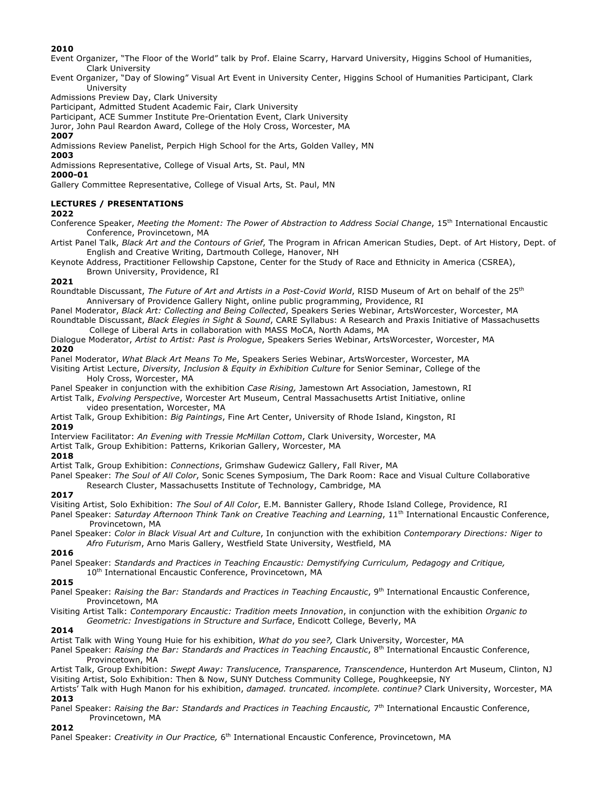## **2010**

Event Organizer, "The Floor of the World" talk by Prof. Elaine Scarry, Harvard University, Higgins School of Humanities, Clark University

Event Organizer, "Day of Slowing" Visual Art Event in University Center, Higgins School of Humanities Participant, Clark University

Admissions Preview Day, Clark University

Participant, Admitted Student Academic Fair, Clark University

Participant, ACE Summer Institute Pre-Orientation Event, Clark University

Juror, John Paul Reardon Award, College of the Holy Cross, Worcester, MA

# **2007**

Admissions Review Panelist, Perpich High School for the Arts, Golden Valley, MN

## **2003**

Admissions Representative, College of Visual Arts, St. Paul, MN

# **2000-01**

Gallery Committee Representative, College of Visual Arts, St. Paul, MN

# **LECTURES / PRESENTATIONS**

#### **2022**

Conference Speaker, *Meeting the Moment: The Power of Abstraction to Address Social Change*, 15th International Encaustic Conference, Provincetown, MA

Artist Panel Talk, *Black Art and the Contours of Grief*, The Program in African American Studies, Dept. of Art History, Dept. of English and Creative Writing, Dartmouth College, Hanover, NH

Keynote Address, Practitioner Fellowship Capstone, Center for the Study of Race and Ethnicity in America (CSREA), Brown University, Providence, RI

## **2021**

Roundtable Discussant, *The Future of Art and Artists in a Post-Covid World*, RISD Museum of Art on behalf of the 25th Anniversary of Providence Gallery Night, online public programming, Providence, RI

Panel Moderator, *Black Art: Collecting and Being Collected*, Speakers Series Webinar, ArtsWorcester, Worcester, MA Roundtable Discussant, *Black Elegies in Sight & Sound*, CARE Syllabus: A Research and Praxis Initiative of Massachusetts College of Liberal Arts in collaboration with MASS MoCA, North Adams, MA

Dialogue Moderator, *Artist to Artist: Past is Prologue*, Speakers Series Webinar, ArtsWorcester, Worcester, MA **2020**

Panel Moderator, *What Black Art Means To Me*, Speakers Series Webinar, ArtsWorcester, Worcester, MA

Visiting Artist Lecture, *Diversity, Inclusion & Equity in Exhibition Culture* for Senior Seminar, College of the Holy Cross, Worcester, MA

Panel Speaker in conjunction with the exhibition *Case Rising,* Jamestown Art Association, Jamestown, RI Artist Talk, *Evolving Perspective*, Worcester Art Museum, Central Massachusetts Artist Initiative, online video presentation, Worcester, MA

Artist Talk, Group Exhibition: *Big Paintings*, Fine Art Center, University of Rhode Island, Kingston, RI **2019**

Interview Facilitator: *An Evening with Tressie McMillan Cottom*, Clark University, Worcester, MA

Artist Talk, Group Exhibition: Patterns, Krikorian Gallery, Worcester, MA

## **2018**

Artist Talk, Group Exhibition: *Connections*, Grimshaw Gudewicz Gallery, Fall River, MA

Panel Speaker: *The Soul of All Color*, Sonic Scenes Symposium, The Dark Room: Race and Visual Culture Collaborative Research Cluster, Massachusetts Institute of Technology, Cambridge, MA

## **2017**

Visiting Artist, Solo Exhibition: *The Soul of All Color*, E.M. Bannister Gallery, Rhode Island College, Providence, RI

Panel Speaker: *Saturday Afternoon Think Tank on Creative Teaching and Learning*, 11th International Encaustic Conference, Provincetown, MA

Panel Speaker: *Color in Black Visual Art and Culture*, In conjunction with the exhibition *Contemporary Directions: Niger to Afro Futurism*, Arno Maris Gallery, Westfield State University, Westfield, MA

## **2016**

Panel Speaker: *Standards and Practices in Teaching Encaustic: Demystifying Curriculum, Pedagogy and Critique,* 10<sup>th</sup> International Encaustic Conference, Provincetown, MA

# **2015**

Panel Speaker: *Raising the Bar: Standards and Practices in Teaching Encaustic*, 9<sup>th</sup> International Encaustic Conference, Provincetown, MA

Visiting Artist Talk: *Contemporary Encaustic: Tradition meets Innovation*, in conjunction with the exhibition *Organic to Geometric: Investigations in Structure and Surface*, Endicott College, Beverly, MA

## **2014**

Artist Talk with Wing Young Huie for his exhibition, *What do you see?,* Clark University, Worcester, MA

Panel Speaker: *Raising the Bar: Standards and Practices in Teaching Encaustic*, 8th International Encaustic Conference, Provincetown, MA

Artist Talk, Group Exhibition: *Swept Away: Translucence, Transparence, Transcendence*, Hunterdon Art Museum, Clinton, NJ Visiting Artist, Solo Exhibition: Then & Now, SUNY Dutchess Community College, Poughkeepsie, NY

Artists' Talk with Hugh Manon for his exhibition, *damaged. truncated. incomplete. continue?* Clark University, Worcester, MA **2013**

Panel Speaker: *Raising the Bar: Standards and Practices in Teaching Encaustic,* 7th International Encaustic Conference, Provincetown, MA

# **2012**

Panel Speaker: Creativity in Our Practice, 6<sup>th</sup> International Encaustic Conference, Provincetown, MA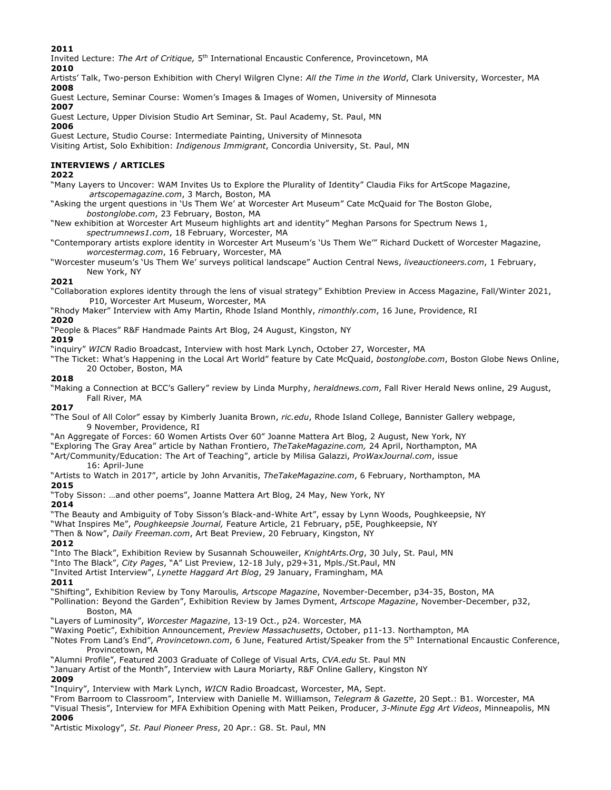**2011**

Invited Lecture: *The Art of Critique,* 5th International Encaustic Conference, Provincetown, MA

**2010**

Artists' Talk, Two-person Exhibition with Cheryl Wilgren Clyne: *All the Time in the World*, Clark University, Worcester, MA **2008**

Guest Lecture, Seminar Course: Women's Images & Images of Women, University of Minnesota

**2007**

Guest Lecture, Upper Division Studio Art Seminar, St. Paul Academy, St. Paul, MN

**2006**

Guest Lecture, Studio Course: Intermediate Painting, University of Minnesota

Visiting Artist, Solo Exhibition: *Indigenous Immigrant*, Concordia University, St. Paul, MN

# **INTERVIEWS / ARTICLES**

#### **2022**

"Many Layers to Uncover: WAM Invites Us to Explore the Plurality of Identity" Claudia Fiks for ArtScope Magazine, *artscopemagazine.com*, 3 March, Boston, MA

"Asking the urgent questions in 'Us Them We' at Worcester Art Museum" Cate McQuaid for The Boston Globe, *bostonglobe.com*, 23 February, Boston, MA

"New exhibition at Worcester Art Museum highlights art and identity" Meghan Parsons for Spectrum News 1, *spectrumnews1.com*, 18 February, Worcester, MA

"Contemporary artists explore identity in Worcester Art Museum's 'Us Them We'" Richard Duckett of Worcester Magazine, *worcestermag.com*, 16 February, Worcester, MA

"Worcester museum's 'Us Them We' surveys political landscape" Auction Central News, *liveauctioneers.com*, 1 February, New York, NY

## **2021**

"Collaboration explores identity through the lens of visual strategy" Exhibtion Preview in Access Magazine, Fall/Winter 2021, P10, Worcester Art Museum, Worcester, MA

"Rhody Maker" Interview with Amy Martin, Rhode Island Monthly, *rimonthly.com*, 16 June, Providence, RI

# **2020**

"People & Places" R&F Handmade Paints Art Blog, 24 August, Kingston, NY

# **2019**

"inquiry" *WICN* Radio Broadcast, Interview with host Mark Lynch, October 27, Worcester, MA

"The Ticket: What's Happening in the Local Art World" feature by Cate McQuaid, *bostonglobe.com*, Boston Globe News Online, 20 October, Boston, MA

# **2018**

"Making a Connection at BCC's Gallery" review by Linda Murphy, *heraldnews.com*, Fall River Herald News online, 29 August, Fall River, MA

## **2017**

"The Soul of All Color" essay by Kimberly Juanita Brown, *ric.edu*, Rhode Island College, Bannister Gallery webpage, 9 November, Providence, RI

"An Aggregate of Forces: 60 Women Artists Over 60" Joanne Mattera Art Blog, 2 August, New York, NY

"Exploring The Gray Area" article by Nathan Frontiero, *TheTakeMagazine.com,* 24 April, Northampton, MA

"Art/Community/Education: The Art of Teaching", article by Milisa Galazzi, *ProWaxJournal.com*, issue

# 16: April-June

"Artists to Watch in 2017", article by John Arvanitis, *TheTakeMagazine.com*, 6 February, Northampton, MA **2015**

"Toby Sisson: …and other poems", Joanne Mattera Art Blog, 24 May, New York, NY

## **2014**

"The Beauty and Ambiguity of Toby Sisson's Black-and-White Art", essay by Lynn Woods, Poughkeepsie, NY

"What Inspires Me", *Poughkeepsie Journal,* Feature Article, 21 February, p5E, Poughkeepsie, NY

"Then & Now", *Daily Freeman.com*, Art Beat Preview, 20 February, Kingston, NY

# **2012**

"Into The Black", Exhibition Review by Susannah Schouweiler, *KnightArts.Org*, 30 July, St. Paul, MN

"Into The Black", *City Pages*, "A" List Preview, 12-18 July, p29+31, Mpls./St.Paul, MN

"Invited Artist Interview", *Lynette Haggard Art Blog*, 29 January, Framingham, MA

# **2011**

"Shifting", Exhibition Review by Tony Maroulis*, Artscope Magazine*, November-December, p34-35, Boston, MA

"Pollination: Beyond the Garden", Exhibition Review by James Dyment, *Artscope Magazine*, November-December, p32, Boston, MA

"Layers of Luminosity", *Worcester Magazine*, 13-19 Oct., p24. Worcester, MA

"Waxing Poetic", Exhibition Announcement, *Preview Massachusetts*, October, p11-13. Northampton, MA

"Notes From Land's End", *Provincetown.com*, 6 June, Featured Artist/Speaker from the 5th International Encaustic Conference, Provincetown, MA

"Alumni Profile", Featured 2003 Graduate of College of Visual Arts, *CVA.edu* St. Paul MN

"January Artist of the Month", Interview with Laura Moriarty, R&F Online Gallery, Kingston NY

# **2009**

"Inquiry", Interview with Mark Lynch, *WICN* Radio Broadcast, Worcester, MA, Sept.

"From Barroom to Classroom", Interview with Danielle M. Williamson, *Telegram & Gazette*, 20 Sept.: B1. Worcester, MA "Visual Thesis", Interview for MFA Exhibition Opening with Matt Peiken, Producer, *3-Minute Egg Art Videos*, Minneapolis, MN **2006**

"Artistic Mixology", *St. Paul Pioneer Press*, 20 Apr.: G8. St. Paul, MN